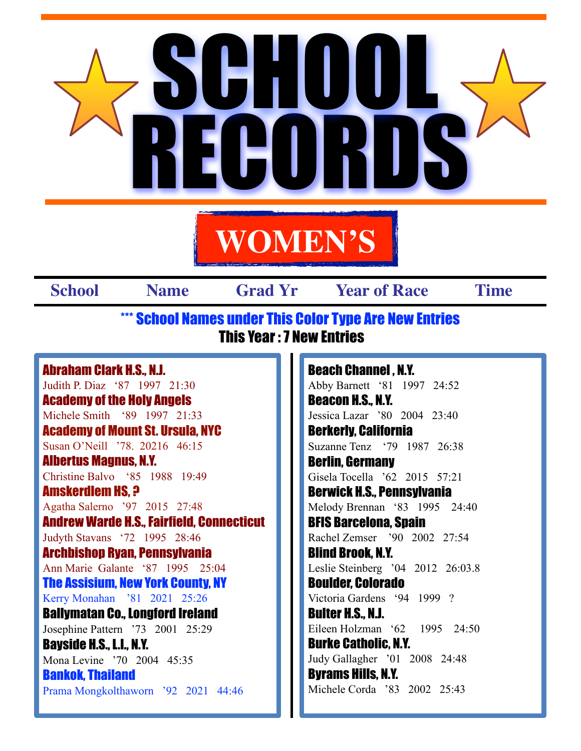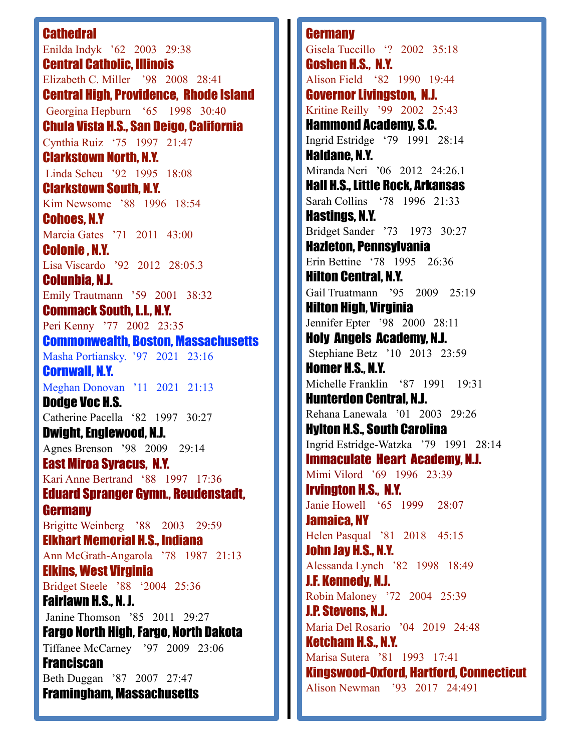## **Cathedral**

Enilda Indyk '62 2003 29:38 Central Catholic, Illinois Elizabeth C. Miller '98 2008 28:41 Central High, Providence, Rhode Island Georgina Hepburn '65 1998 30:40 Chula Vista H.S., San Deigo, California Cynthia Ruiz '75 1997 21:47 Clarkstown North, N.Y. Linda Scheu '92 1995 18:08 Clarkstown South, N.Y. Kim Newsome '88 1996 18:54 Cohoes, N.Y Marcia Gates '71 2011 43:00 Colonie , N.Y. Lisa Viscardo '92 2012 28:05.3 Colunbia, N.J. Emily Trautmann '59 2001 38:32 Commack South, L.I., N.Y. Peri Kenny '77 2002 23:35 Commonwealth, Boston, Massachusetts Masha Portiansky. '97 2021 23:16 Cornwall, N.Y. Meghan Donovan '11 2021 21:13 Dodge Voc H.S. Catherine Pacella '82 1997 30:27 Dwight, Englewood, N.J. Agnes Brenson '98 2009 29:14 East Miroa Syracus, N.Y. Kari Anne Bertrand '88 1997 17:36 Eduard Spranger Gymn., Reudenstadt, **Germany** Brigitte Weinberg '88 2003 29:59 Elkhart Memorial H.S., Indiana Ann McGrath-Angarola '78 1987 21:13 Elkins, West Virginia Bridget Steele '88 '2004 25:36 Fairlawn H.S., N. J. Janine Thomson '85 2011 29:27 Fargo North High, Fargo, North Dakota Tiffanee McCarney '97 2009 23:06 **Franciscan** Beth Duggan '87 2007 27:47 Framingham, Massachusetts

**Germany** Gisela Tuccillo '? 2002 35:18 Goshen H.S., N.Y. Alison Field '82 1990 19:44 Governor Livingston, N.J. Kritine Reilly '99 2002 25:43 Hammond Academy, S.C. Ingrid Estridge '79 1991 28:14 Haldane, N.Y. Miranda Neri '06 2012 24:26.1 Hall H.S., Little Rock, Arkansas Sarah Collins '78 1996 21:33 Hastings, N.Y. Bridget Sander '73 1973 30:27 Hazleton, Pennsylvania Erin Bettine '78 1995 26:36 Hilton Central, N.Y. Gail Truatmann '95 2009 25:19 Hilton High, Virginia Jennifer Epter '98 2000 28:11 Holy Angels Academy, N.J. Stephiane Betz '10 2013 23:59 Homer H.S., N.Y. Michelle Franklin '87 1991 19:31 Hunterdon Central, N.J. Rehana Lanewala '01 2003 29:26 Hylton H.S., South Carolina Ingrid Estridge-Watzka '79 1991 28:14 Immaculate Heart Academy, N.J. Mimi Vilord '69 1996 23:39 Irvington H.S., N.Y. Janie Howell '65 1999 28:07 Jamaica, NY Helen Pasqual '81 2018 45:15 John Jay H.S., N.Y. Alessanda Lynch '82 1998 18:49 J.F. Kennedy, N.J. Robin Maloney '72 2004 25:39 J.P. Stevens, N.J. Maria Del Rosario '04 2019 24:48 Ketcham H.S., N.Y. Marisa Sutera '81 1993 17:41 Kingswood-Oxford, Hartford, Connecticut Alison Newman '93 2017 24:491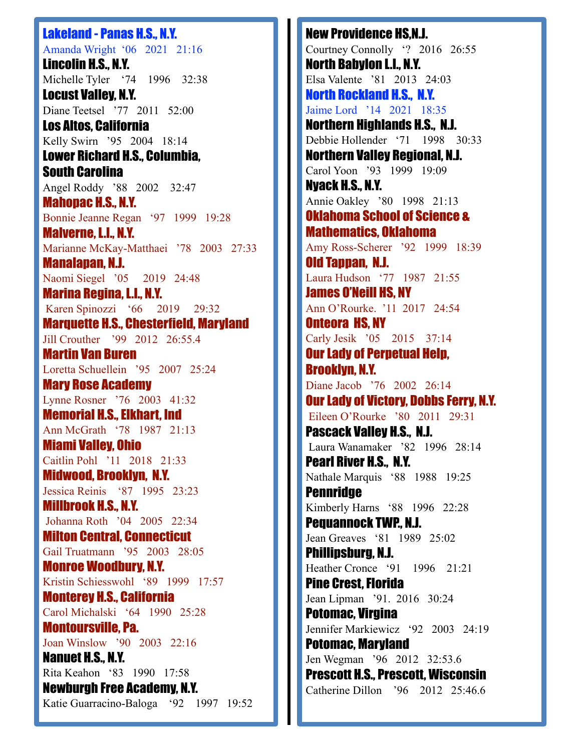Lakeland - Panas H.S., N.Y. Amanda Wright '06 2021 21:16 Lincolin H.S., N.Y. Michelle Tyler '74 1996 32:38 Locust Valley, N.Y. Diane Teetsel '77 2011 52:00 Los Altos, California Kelly Swirn '95 2004 18:14 Lower Richard H.S., Columbia, South Carolina Angel Roddy '88 2002 32:47 Mahopac H.S., N.Y. Bonnie Jeanne Regan '97 1999 19:28 Malverne, L.I., N.Y. Marianne McKay-Matthaei '78 2003 27:33 Manalapan, N.J. Naomi Siegel '05 2019 24:48 Marina Regina, L.I., N.Y. Karen Spinozzi '66 2019 29:32 Marquette H.S., Chesterfield, Maryland Jill Crouther '99 2012 26:55.4 Martin Van Buren Loretta Schuellein '95 2007 25:24 Mary Rose Academy Lynne Rosner '76 2003 41:32 Memorial H.S., Elkhart, Ind Ann McGrath '78 1987 21:13 Miami Valley, Ohio Caitlin Pohl '11 2018 21:33 Midwood, Brooklyn, N.Y. Jessica Reinis '87 1995 23:23 Millbrook H.S., N.Y. Johanna Roth '04 2005 22:34 Milton Central, Connecticut Gail Truatmann '95 2003 28:05 Monroe Woodbury, N.Y. Kristin Schiesswohl '89 1999 17:57 Monterey H.S., California Carol Michalski '64 1990 25:28 Montoursville, Pa. Joan Winslow '90 2003 22:16 Nanuet H.S., N.Y. Rita Keahon '83 1990 17:58 Newburgh Free Academy, N.Y. Katie Guarracino-Baloga '92 1997 19:52

New Providence HS,N.J. Courtney Connolly '? 2016 26:55 North Babylon L.I., N.Y. Elsa Valente '81 2013 24:03 North Rockland H.S., N.Y. Jaime Lord '14 2021 18:35 Northern Highlands H.S., N.J. Debbie Hollender '71 1998 30:33 Northern Valley Regional, N.J. Carol Yoon '93 1999 19:09 Nyack H.S., N.Y. Annie Oakley '80 1998 21:13 Oklahoma School of Science & Mathematics, Oklahoma Amy Ross-Scherer '92 1999 18:39 Old Tappan, N.J. Laura Hudson '77 1987 21:55 James O'Neill HS, NY Ann O'Rourke. '11 2017 24:54 Onteora HS, NY Carly Jesik '05 2015 37:14 Our Lady of Perpetual Help, Brooklyn, N.Y. Diane Jacob '76 2002 26:14 Our Lady of Victory, Dobbs Ferry, N.Y. Eileen O'Rourke '80 2011 29:31 Pascack Valley H.S., N.J. Laura Wanamaker '82 1996 28:14 Pearl River H.S., N.Y. Nathale Marquis '88 1988 19:25 **Pennridge** Kimberly Harns '88 1996 22:28 Pequannock TWP., N.J. Jean Greaves '81 1989 25:02 Phillipsburg, N.J. Heather Cronce '91 1996 21:21 Pine Crest, Florida Jean Lipman '91. 2016 30:24 Potomac, Virgina Jennifer Markiewicz '92 2003 24:19 Potomac, Maryland Jen Wegman '96 2012 32:53.6 Prescott H.S., Prescott, Wisconsin Catherine Dillon '96 2012 25:46.6